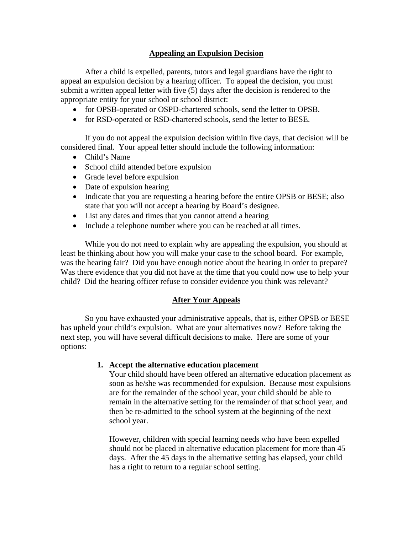# **Appealing an Expulsion Decision**

 After a child is expelled, parents, tutors and legal guardians have the right to appeal an expulsion decision by a hearing officer. To appeal the decision, you must submit a written appeal letter with five (5) days after the decision is rendered to the appropriate entity for your school or school district:

- for OPSB-operated or OSPD-chartered schools, send the letter to OPSB.
- for RSD-operated or RSD-chartered schools, send the letter to BESE.

If you do not appeal the expulsion decision within five days, that decision will be considered final. Your appeal letter should include the following information:

- Child's Name
- School child attended before expulsion
- Grade level before expulsion
- Date of expulsion hearing
- Indicate that you are requesting a hearing before the entire OPSB or BESE; also state that you will not accept a hearing by Board's designee.
- List any dates and times that you cannot attend a hearing
- Include a telephone number where you can be reached at all times.

While you do not need to explain why are appealing the expulsion, you should at least be thinking about how you will make your case to the school board. For example, was the hearing fair? Did you have enough notice about the hearing in order to prepare? Was there evidence that you did not have at the time that you could now use to help your child? Did the hearing officer refuse to consider evidence you think was relevant?

## **After Your Appeals**

 So you have exhausted your administrative appeals, that is, either OPSB or BESE has upheld your child's expulsion. What are your alternatives now? Before taking the next step, you will have several difficult decisions to make. Here are some of your options:

## **1. Accept the alternative education placement**

Your child should have been offered an alternative education placement as soon as he/she was recommended for expulsion. Because most expulsions are for the remainder of the school year, your child should be able to remain in the alternative setting for the remainder of that school year, and then be re-admitted to the school system at the beginning of the next school year.

However, children with special learning needs who have been expelled should not be placed in alternative education placement for more than 45 days. After the 45 days in the alternative setting has elapsed, your child has a right to return to a regular school setting.